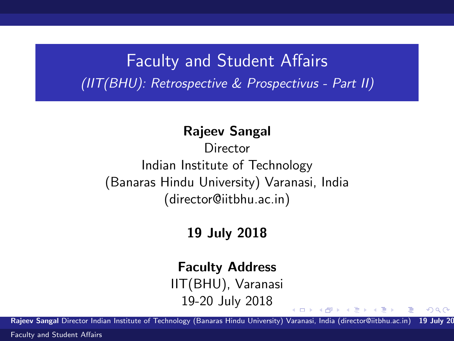### Faculty and Student Affairs (IIT(BHU): Retrospective & Prospectivus - Part II)

#### Rajeev Sangal

**Director** Indian Institute of Technology (Banaras Hindu University) Varanasi, India (director@iitbhu.ac.in)

### 19 July 2018

#### Faculty Address

IIT(BHU), Varanasi 19-20 July 2018

Rajeev Sangal Director Indian Institute of Technology (Banaras Hindu University) Varanasi, India (director@iitbhu.ac.in) 19 July 20

 $\left\{ \begin{array}{ccc} 1 & 0 & 0 \\ 0 & 1 & 0 \end{array} \right.$ 

<span id="page-0-0"></span> $\Omega$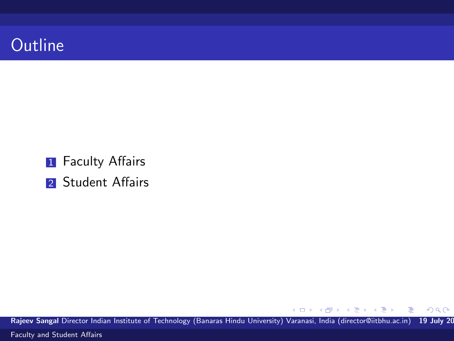

**1** Faculty Affairs

2 Student Affairs

Rajeev Sangal Director Indian Institute of Technology (Banaras Hindu University) Varanasi, India (director@iitbhu.ac.in) 19 July 20

K ロ ▶ K 御 ▶ K 君 ▶ K 君 ▶

 $299$ 

Ε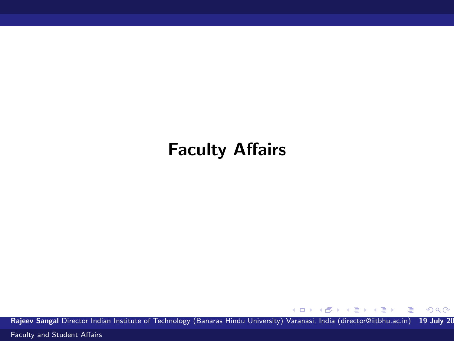## Faculty Affairs

Rajeev Sangal Director Indian Institute of Technology (Banaras Hindu University) Varanasi, India (director@iitbhu.ac.in) 19 July 20

メロメ メ部 メメ きょくきょう

 $299$ 

重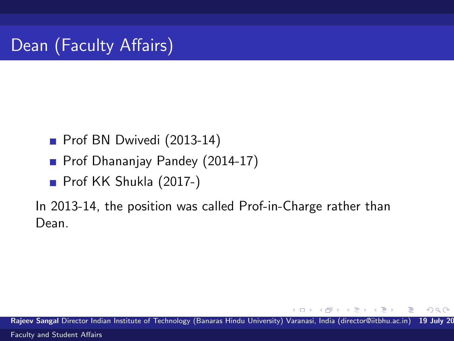- Prof BN Dwivedi (2013-14)
- Prof Dhananjay Pandey (2014-17)
- Prof KK Shukla (2017-)

In 2013-14, the position was called Prof-in-Charge rather than Dean.

Rajeev Sangal Director Indian Institute of Technology (Banaras Hindu University) Varanasi, India (director@iitbhu.ac.in) 19 July 20 [Faculty and Student Affairs](#page-0-0)

 $QQ$ 

**STATES**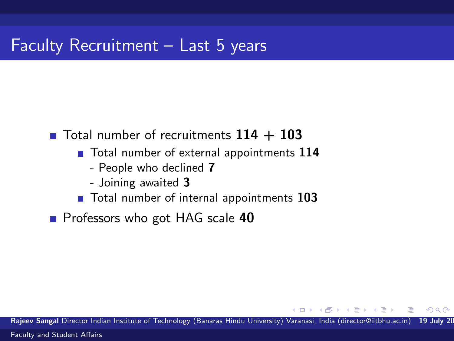$\blacksquare$  Total number of recruitments  $114 + 103$ 

- Total number of external appointments 114
	- People who declined 7
	- Joining awaited 3
- Total number of internal appointments 103
- **Professors who got HAG scale 40**

Rajeev Sangal Director Indian Institute of Technology (Banaras Hindu University) Varanasi, India (director@iitbhu.ac.in) 19 July 20 [Faculty and Student Affairs](#page-0-0)

 $\triangleright$   $\rightarrow$   $\exists$   $\rightarrow$   $\rightarrow$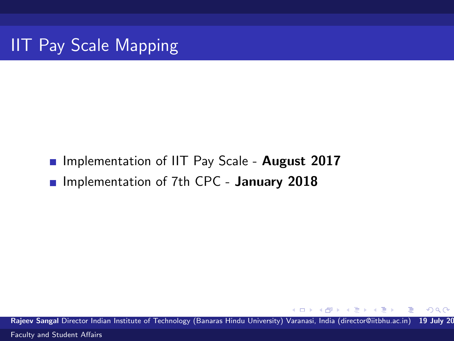**Implementation of IIT Pay Scale - August 2017 Implementation of 7th CPC - January 2018** 

Rajeev Sangal Director Indian Institute of Technology (Banaras Hindu University) Varanasi, India (director@iitbhu.ac.in) 19 July 20 [Faculty and Student Affairs](#page-0-0)

 $\mathbf{v} = \mathbf{v}$  . The  $\mathbf{v}$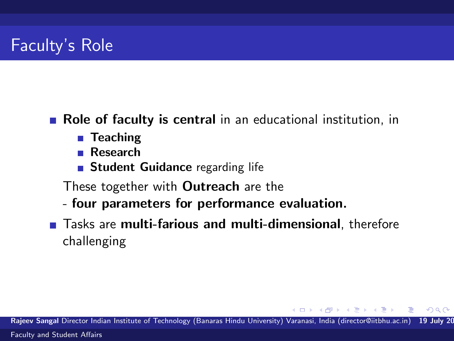### Faculty's Role

#### **Role of faculty is central** in an educational institution, in

- Teaching
- **Research**
- **Student Guidance** regarding life
- These together with Outreach are the
- four parameters for performance evaluation.
- **Tasks are multi-farious and multi-dimensional**, therefore challenging

Rajeev Sangal Director Indian Institute of Technology (Banaras Hindu University) Varanasi, India (director@iitbhu.ac.in) 19 July 20 [Faculty and Student Affairs](#page-0-0)

All + + = + +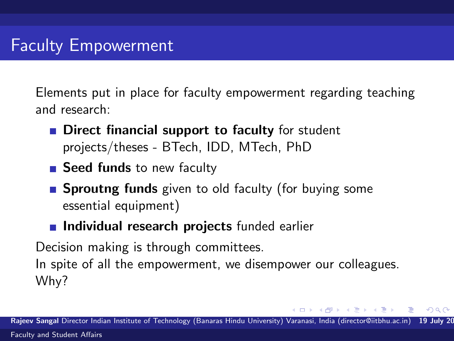Elements put in place for faculty empowerment regarding teaching and research:

- **Direct financial support to faculty** for student projects/theses - BTech, IDD, MTech, PhD
- Seed funds to new faculty
- **Sproutng funds** given to old faculty (for buying some essential equipment)
- **Individual research projects** funded earlier

Decision making is through committees.

In spite of all the empowerment, we disempower our colleagues. Why?

**State State**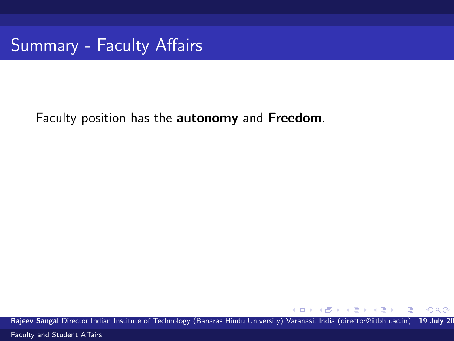Summary - Faculty Affairs

Faculty position has the autonomy and Freedom.

Rajeev Sangal Director Indian Institute of Technology (Banaras Hindu University) Varanasi, India (director@iitbhu.ac.in) 19 July 20

4.0.3

 $\left\{ \left\vert \left\langle \left\langle \left\langle \mathbf{q} \right\rangle \right\rangle \right\rangle \right\vert \left\langle \mathbf{q} \right\rangle \right\vert \left\langle \mathbf{q} \right\rangle \right\vert \left\langle \mathbf{q} \right\rangle \right\vert \left\langle \mathbf{q} \right\rangle \left\langle \mathbf{q} \right\rangle \right\vert$ 

 $299$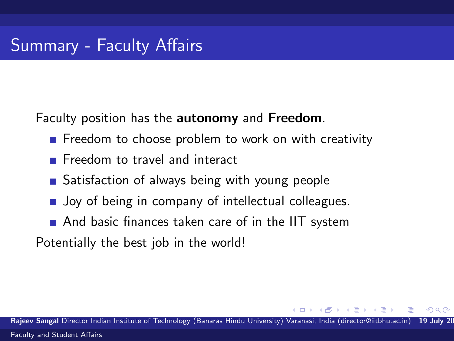Faculty position has the autonomy and Freedom.

- $\blacksquare$  Freedom to choose problem to work on with creativity
- **Freedom to travel and interact**
- Satisfaction of always being with young people
- **Joy of being in company of intellectual colleagues.**
- And basic finances taken care of in the IIT system

Potentially the best job in the world!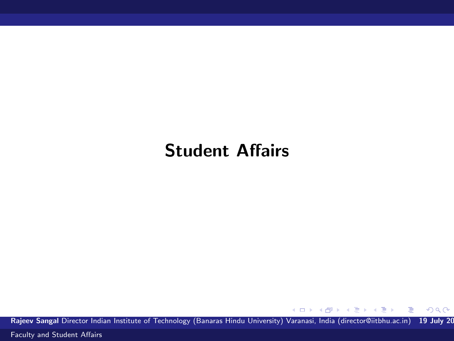### Student Affairs

Rajeev Sangal Director Indian Institute of Technology (Banaras Hindu University) Varanasi, India (director@iitbhu.ac.in) 19 July 20

メロメ メ部 メメ きょくきょう

 $299$ 

活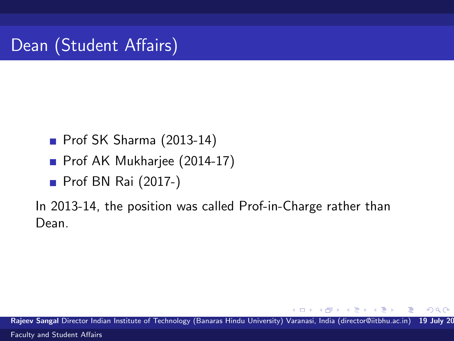- Prof SK Sharma (2013-14)
- Prof AK Mukharjee (2014-17)
- **Prof BN Rai (2017-)**

In 2013-14, the position was called Prof-in-Charge rather than Dean.

Rajeev Sangal Director Indian Institute of Technology (Banaras Hindu University) Varanasi, India (director@iitbhu.ac.in) 19 July 20 [Faculty and Student Affairs](#page-0-0)

 $QQ$ 

 $\rightarrow$   $\equiv$   $\rightarrow$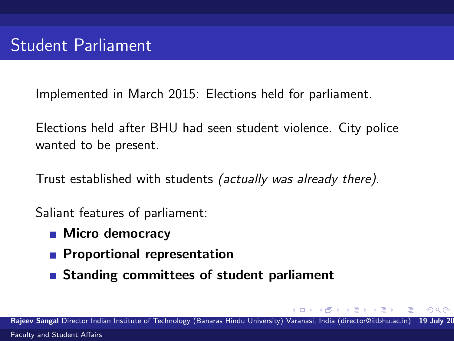Implemented in March 2015: Elections held for parliament.

Elections held after BHU had seen student violence. City police wanted to be present.

Trust established with students (actually was already there).

Saliant features of parliament:

- Micro democracy
- **Proportional representation**
- Standing committees of student parliament

Rajeev Sangal Director Indian Institute of Technology (Banaras Hindu University) Varanasi, India (director@iitbhu.ac.in) [Faculty and Student Affairs](#page-0-0)

 $\rightarrow$   $\rightarrow$   $\rightarrow$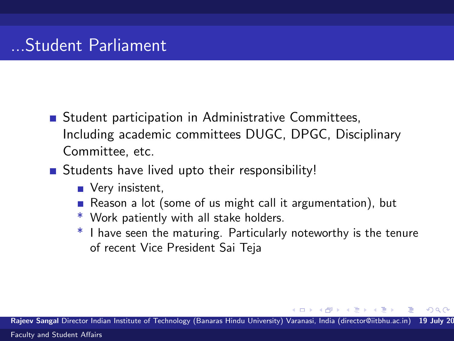- **Student participation in Administrative Committees,** Including academic committees DUGC, DPGC, Disciplinary Committee, etc.
- **Students have lived upto their responsibility!** 
	- Very insistent,
	- Reason a lot (some of us might call it argumentation), but
	- \* Work patiently with all stake holders.
	- \* I have seen the maturing. Particularly noteworthy is the tenure of recent Vice President Sai Teja

一 ( 三 ) 。

Rajeev Sangal Director Indian Institute of Technology (Banaras Hindu University) Varanasi, India (director@iitbhu.ac.in)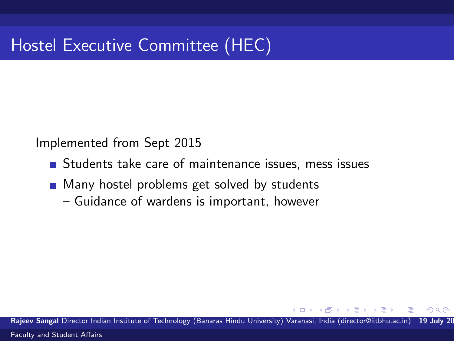# Hostel Executive Committee (HEC)

Implemented from Sept 2015

- **Students take care of maintenance issues, mess issues**
- **Many hostel problems get solved by students** 
	- Guidance of wardens is important, however

Rajeev Sangal Director Indian Institute of Technology (Banaras Hindu University) Varanasi, India (director@iitbhu.ac.in) [Faculty and Student Affairs](#page-0-0)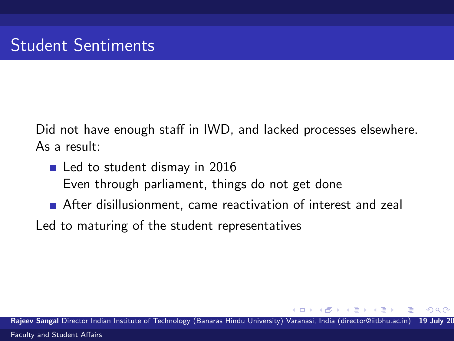Did not have enough staff in IWD, and lacked processes elsewhere. As a result:

- Led to student dismay in 2016
	- Even through parliament, things do not get done
- **After disillusionment, came reactivation of interest and zeal**
- Led to maturing of the student representatives

Rajeev Sangal Director Indian Institute of Technology (Banaras Hindu University) Varanasi, India (director@iitbhu.ac.in) [Faculty and Student Affairs](#page-0-0)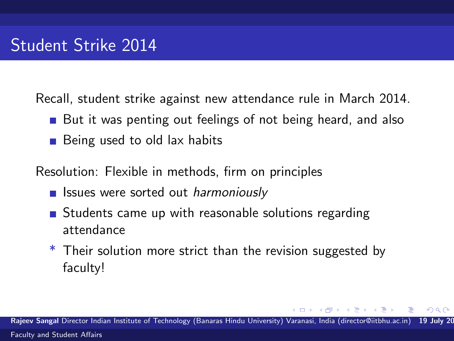Recall, student strike against new attendance rule in March 2014.

- But it was penting out feelings of not being heard, and also
- Being used to old lax habits

Resolution: Flexible in methods, firm on principles

- **In Issues were sorted out harmoniously**
- **Students came up with reasonable solutions regarding** attendance
- \* Their solution more strict than the revision suggested by faculty!

Rajeev Sangal Director Indian Institute of Technology (Banaras Hindu University) Varanasi, India (director@iitbhu.ac.in) [Faculty and Student Affairs](#page-0-0)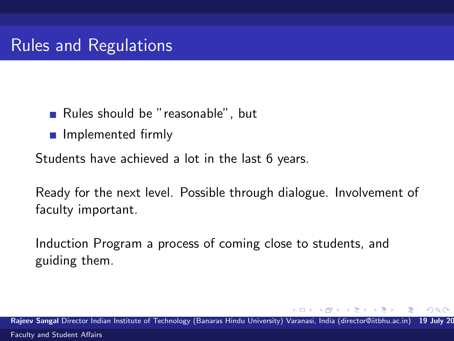- Rules should be "reasonable", but
- **n** Implemented firmly

Students have achieved a lot in the last 6 years.

Ready for the next level. Possible through dialogue. Involvement of faculty important.

Induction Program a process of coming close to students, and guiding them.

Rajeev Sangal Director Indian Institute of Technology (Banaras Hindu University) Varanasi, India (director@iitbhu.ac.in) [Faculty and Student Affairs](#page-0-0)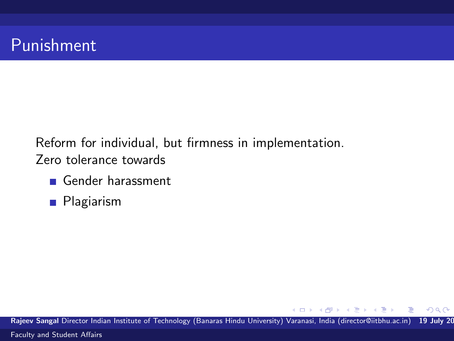## Punishment

Reform for individual, but firmness in implementation. Zero tolerance towards

- Gender harassment
- **Plagiarism**

Rajeev Sangal Director Indian Institute of Technology (Banaras Hindu University) Varanasi, India (director@iitbhu.ac.in) 19 July 20 [Faculty and Student Affairs](#page-0-0)

4.0.3

 $\left\{ \left\vert \left\langle \left\langle \left\langle \mathbf{q} \right\rangle \right\rangle \right\rangle \right\vert \left\langle \mathbf{q} \right\rangle \right\vert \left\langle \mathbf{q} \right\rangle \right\vert \left\langle \mathbf{q} \right\rangle \right\vert \left\langle \mathbf{q} \right\rangle \left\langle \mathbf{q} \right\rangle \right\vert$ 

 $\Rightarrow$ 

 $299$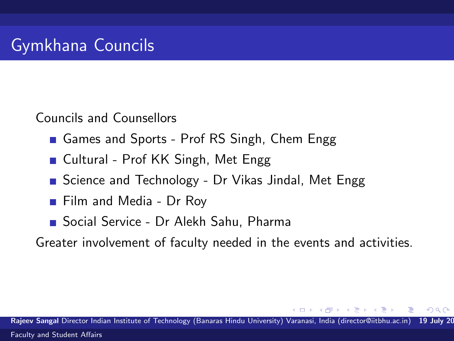## Gymkhana Councils

Councils and Counsellors

- Games and Sports Prof RS Singh, Chem Engg
- Cultural Prof KK Singh, Met Engg
- Science and Technology Dr Vikas Jindal, Met Engg
- **Film and Media Dr Roy**
- Social Service Dr Alekh Sahu, Pharma

Greater involvement of faculty needed in the events and activities.

Rajeev Sangal Director Indian Institute of Technology (Banaras Hindu University) Varanasi, India (director@iitbhu.ac.in) [Faculty and Student Affairs](#page-0-0)

 $\rightarrow$   $\equiv$   $\rightarrow$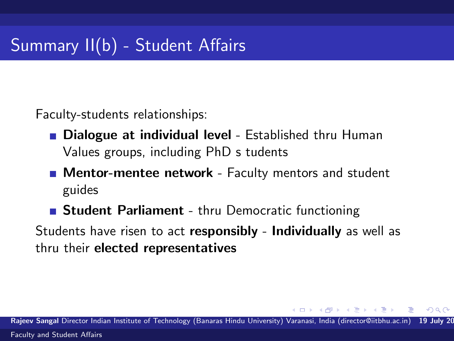Faculty-students relationships:

- **Dialogue at individual level Established thru Human** Values groups, including PhD s tudents
- **Mentor-mentee network** Faculty mentors and student guides
- **Student Parliament** thru Democratic functioning

Students have risen to act responsibly - Individually as well as thru their elected representatives

Rajeev Sangal Director Indian Institute of Technology (Banaras Hindu University) Varanasi, India (director@iitbhu.ac.in) [Faculty and Student Affairs](#page-0-0)

- 4 国 国 3